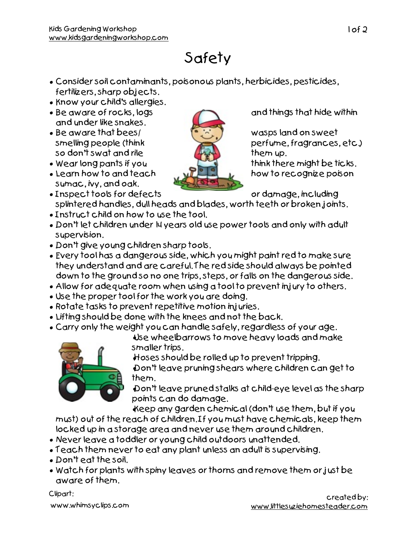## Safety

- Consider soil contaminants, poisonous plants, herbicides, pesticides, fertilizers, sharp objects.
- Know your child's allergies.
- Be aware of rocks, logs and things that hide within and under like snakes.
- Be aware that bees/ wasps land on sweet so don't swat and rile them up.
- Wear long pants if you  $\begin{array}{ccc} \hline \end{array}$  think there might be ticks.
- Learn how to and teach  $\mathbf{u}$   $\mathbf{u}$   $\mathbf{u}$  how to recognize poison sumac, ivy, and oak.
- Inspect tools for defects or damage, including splintered handles, dull heads and blades, worth teeth or broken joints.
- Instruct child on how to use the tool.
- Don't let children under 14 years old use power tools and only with adult supervision.
- Don't give young children sharp tools.
- Every tool has a dangerous side, which you might paint red to make sure they understand and are careful. The red side should always be pointed down to the ground so no one trips, steps, or falls on the dangerous side.
- Allow for adequate room when using a tool to prevent injury to others.
- Use the proper tool for the work you are doing.
- Rotate tasks to prevent repetitive motion injuries.
- Lifting should be done with the knees and not the back.
- Carry only the weight you can handle safely, regardless of your age.

•Use wheelbarrows to move heavy loads and make smaller trips.

•Hoses should be rolled up to prevent tripping.

•Don't leave pruning shears where children can get to them.

•Don't leave pruned stalks at child-eye level as the sharp points can do damage.

•Keep any garden chemical (don't use them, but if you

must) out of the reach of children. If you must have chemicals, keep them locked up in a storage area and never use them around children.

- Never leave a toddler or young child outdoors unattended.
- Teach them never to eat any plant unless an adult is supervising.
- Don't eat the soil.
- Watch for plants with spiny leaves or thorns and remove them or just be aware of them.

Clipart:

www.whimsyclips.com



smelling people (think perfume, fragrances, etc.)